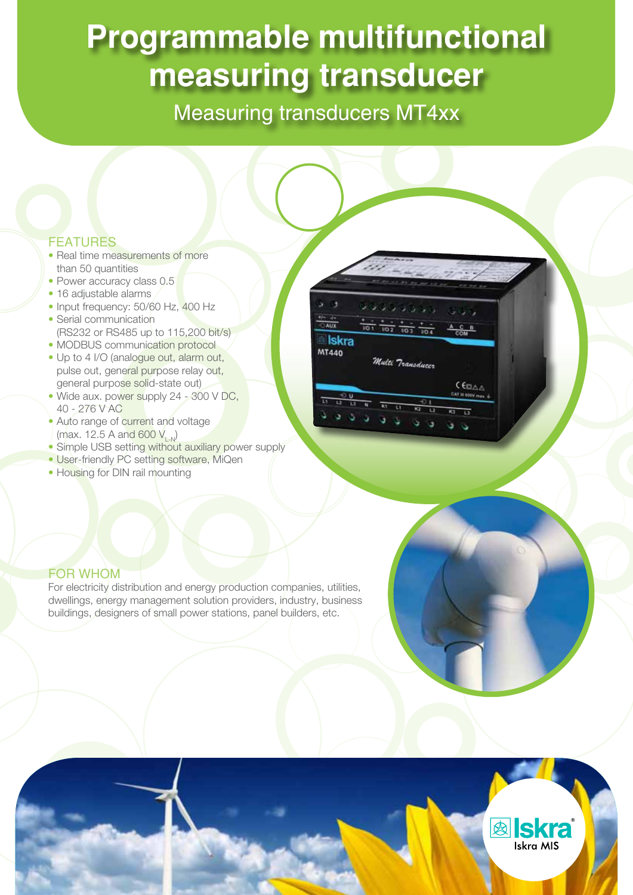# **Programmable multifunctional measuring transducer**

Measuring transducers MT4xx

### **FEATURES**

- Real time measurements of more than 50 quantities
- Power accuracy class 0.5
- • 16 adjustable alarms
- Input frequency: 50/60 Hz, 400 Hz
- Serial communication (RS232 or RS485 up to 115,200 bit/s)
- MODBUS communication protocol
- Up to 4 I/O (analogue out, alarm out, pulse out, general purpose relay out, general purpose solid-state out)
- Wide aux. power supply 24 300 V DC, 40 - 276 V AC
- Auto range of current and voltage  $(max. 12.5 A and 600 V_{Ln})$
- Simple USB setting without auxiliary power supply
- User-friendly PC setting software, MiQen
- Housing for DIN rail mounting

|                         | <b>CALCU</b><br>the aid and<br>--                  | Dett 50                       |
|-------------------------|----------------------------------------------------|-------------------------------|
| u                       | والمال والوالي والما                               | والمحافا                      |
| $-4+$<br><b>AUX</b>     | NO <sub>1</sub><br>102<br>10.3<br>1/D <sub>4</sub> | e<br>8                        |
| <b>Skra</b><br>MT440    | Multi Transduccr                                   | COM                           |
|                         |                                                    |                               |
|                         |                                                    | CEBA                          |
| O U<br>и<br>$\Box$<br>u | ŧ<br>N<br>11<br>u<br>K2<br>12                      | CAT III 60EV max. +<br>æ<br>u |

### FOR WHOM

For electricity distribution and energy production companies, utilities, dwellings, energy management solution providers, industry, business buildings, designers of small power stations, panel builders, etc.

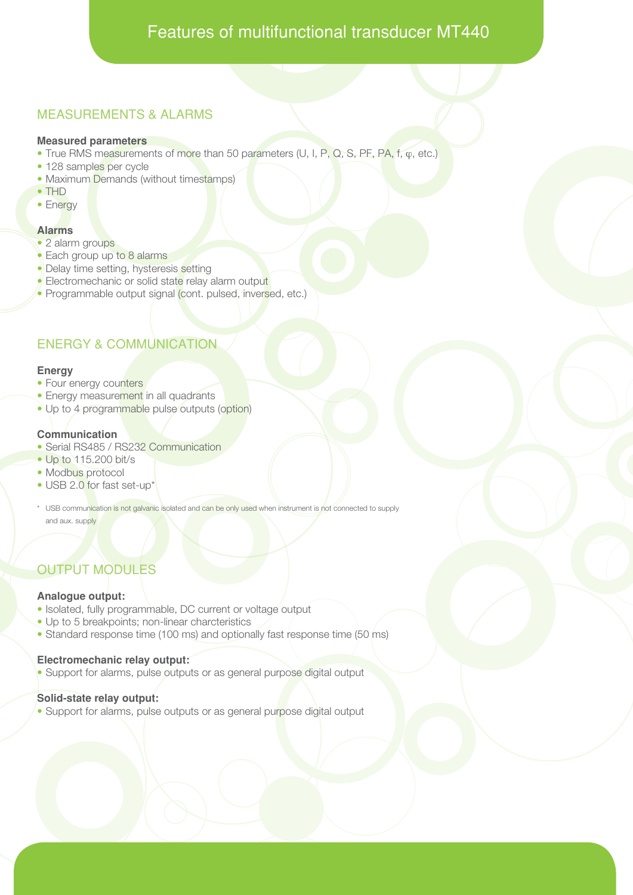# Features of multifunctional transducer MT440

## MEASUREMENTS & ALARMS

### **Measured parameters**

- True RMS measurements of more than 50 parameters (U, I, P, Q, S, PF, PA, f, o, etc.)
- 128 samples per cycle
- Maximum Demands (without timestamps)
- • THD
- Energy

### **Alarms**

- 2 alarm groups
- Each group up to 8 alarms
- Delay time setting, hysteresis setting
- Electromechanic or solid state relay alarm output
- Programmable output signal (cont. pulsed, inversed, etc.)

## ENERGY & COMMUNICATION

#### **Energy**

- Four energy counters
- Energy measurement in all quadrants
- Up to 4 programmable pulse outputs (option)

### **Communication**

- Serial RS485 / RS232 Communication
- Up to 115.200 bit/s
- Modbus protocol
- USB 2.0 for fast set-up\*
- \* USB communication is not galvanic isolated and can be only used when instrument is not connected to supply and aux. supply

# OUTPUT MODULES

### **Analogue output:**

- Isolated, fully programmable, DC current or voltage output
- Up to 5 breakpoints; non-linear charcteristics
- Standard response time (100 ms) and optionally fast response time (50 ms)

### **Electromechanic relay output:**

• Support for alarms, pulse outputs or as general purpose digital output

### **Solid-state relay output:**

• Support for alarms, pulse outputs or as general purpose digital output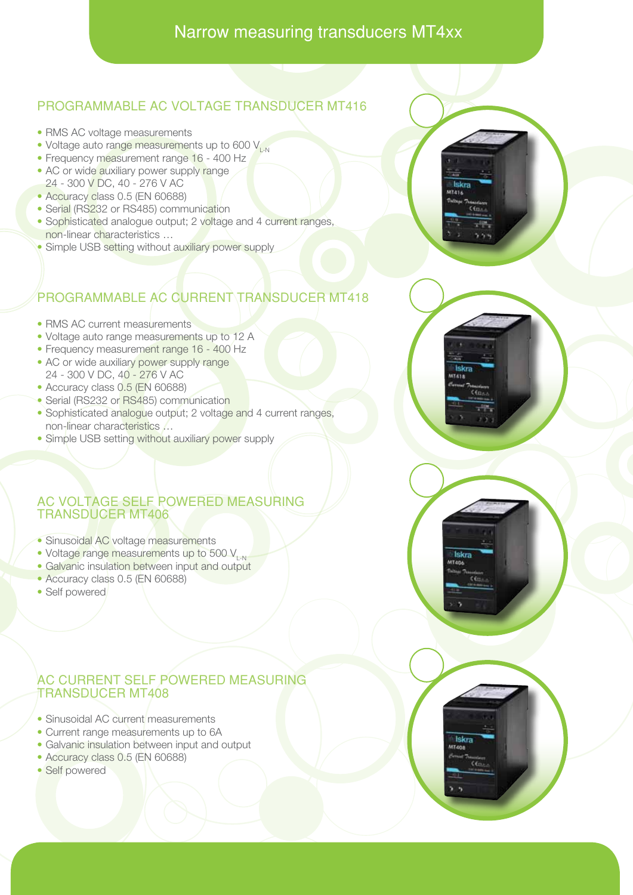# Narrow measuring transducers MT4xx

# PROGRAMMABLE AC VOLTAGE TRANSDUCER MT416

- RMS AC voltage measurements
- Voltage auto range measurements up to 600 V<sub>L-N</sub>
- Frequency measurement range 16 400 Hz
- AC or wide auxiliary power supply range
- 24 300 V DC, 40 276 V AC
- Accuracy class 0.5 (EN 60688)
- Serial (RS232 or RS485) communication
- Sophisticated analogue output; 2 voltage and 4 current ranges, non-linear characteristics …
- Simple USB setting without auxiliary power supply



# PROGRAMMABLE AC CURRENT TRANSDUCER MT418

- RMS AC current measurements
- Voltage auto range measurements up to 12 A
- Frequency measurement range 16 400 Hz
- AC or wide auxiliary power supply range 24 - 300 V DC, 40 - 276 V AC
- Accuracy class 0.5 (EN 60688)
- Serial (RS232 or RS485) communication
- Sophisticated analogue output; 2 voltage and 4 current ranges, non-linear characteristics …
- Simple USB setting without auxiliary power supply

### AC VOLTAGE SELF POWERED MEASURING TRANSDUCER MT406

- Sinusoidal AC voltage measurements
- Voltage range measurements up to 500 V<sub>L-N</sub>
- Galvanic insulation between input and output
- Accuracy class 0.5 (EN 60688)
- Self powered

### AC CURRENT SELF POWERED MEASURING TRANSDUCER MT408

- Sinusoidal AC current measurements
- Current range measurements up to 6A
- Galvanic insulation between input and output
- Accuracy class 0.5 (EN 60688)
- Self powered